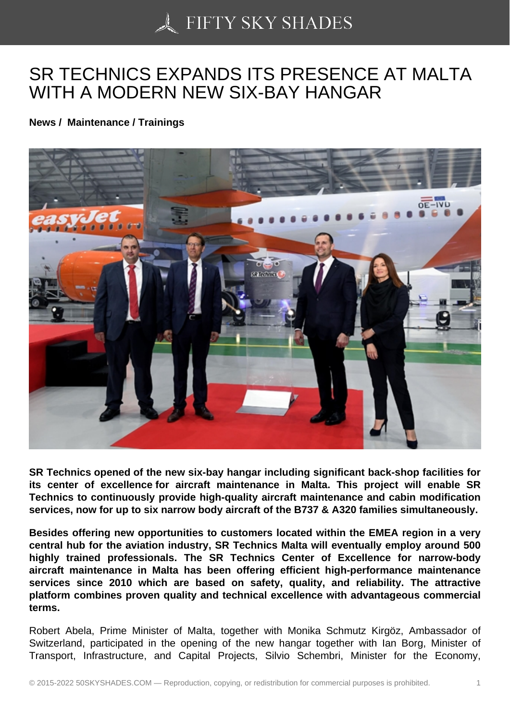## [SR TECHNICS EXPAN](https://50skyshades.com)DS ITS PRESENCE AT MALTA WITH A MODERN NEW SIX-BAY HANGAR

News / Maintenance / Trainings

SR Technics opened of the new six-bay hangar including significant back-shop facilities for its center of excellence for aircraft maintenance in Malta. This project will enable SR Technics to continuously provide high-quality aircraft maintenance and cabin modification services, now for up to six narrow body aircraft of the B737 & A320 families simultaneously.

Besides offering new opportunities to customers located within the EMEA region in a very central hub for the aviation industry, SR Technics Malta will eventually employ around 500 highly trained professionals. The SR Technics Center of Excellence for narrow-body aircraft maintenance in Malta has been offering efficient high-performance maintenance services since 2010 which are based on safety, quality, and reliability. The attractive platform combines proven quality and technical excellence with advantageous commercial terms.

Robert Abela, Prime Minister of Malta, together with Monika Schmutz Kirgöz, Ambassador of Switzerland, participated in the opening of the new hangar together with Ian Borg, Minister of Transport, Infrastructure, and Capital Projects, Silvio Schembri, Minister for the Economy,